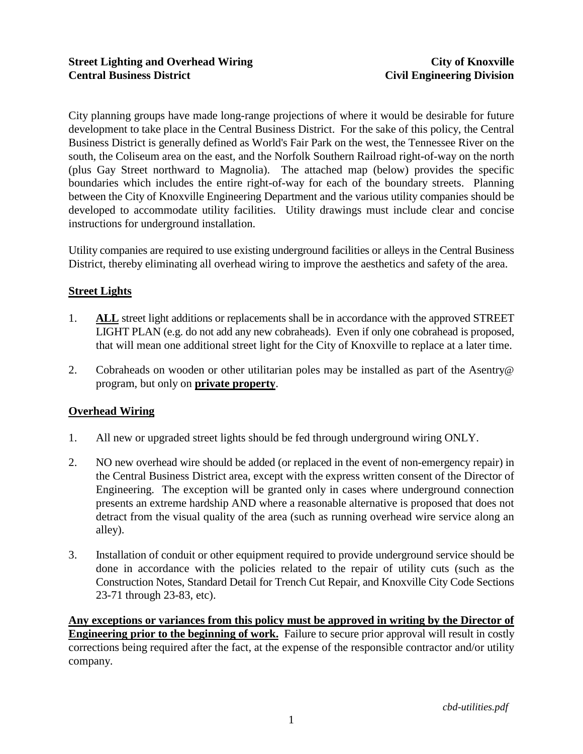City planning groups have made long-range projections of where it would be desirable for future development to take place in the Central Business District. For the sake of this policy, the Central Business District is generally defined as World's Fair Park on the west, the Tennessee River on the south, the Coliseum area on the east, and the Norfolk Southern Railroad right-of-way on the north (plus Gay Street northward to Magnolia). The attached map (below) provides the specific boundaries which includes the entire right-of-way for each of the boundary streets. Planning between the City of Knoxville Engineering Department and the various utility companies should be developed to accommodate utility facilities. Utility drawings must include clear and concise instructions for underground installation.

Utility companies are required to use existing underground facilities or alleys in the Central Business District, thereby eliminating all overhead wiring to improve the aesthetics and safety of the area.

## **Street Lights**

- 1. **ALL** street light additions or replacements shall be in accordance with the approved STREET LIGHT PLAN (e.g. do not add any new cobraheads). Even if only one cobrahead is proposed, that will mean one additional street light for the City of Knoxville to replace at a later time.
- 2. Cobraheads on wooden or other utilitarian poles may be installed as part of the Asentry@ program, but only on **private property**.

## **Overhead Wiring**

- 1. All new or upgraded street lights should be fed through underground wiring ONLY.
- 2. NO new overhead wire should be added (or replaced in the event of non-emergency repair) in the Central Business District area, except with the express written consent of the Director of Engineering. The exception will be granted only in cases where underground connection presents an extreme hardship AND where a reasonable alternative is proposed that does not detract from the visual quality of the area (such as running overhead wire service along an alley).
- 3. Installation of conduit or other equipment required to provide underground service should be done in accordance with the policies related to the repair of utility cuts (such as the Construction Notes, Standard Detail for Trench Cut Repair, and Knoxville City Code Sections 23-71 through 23-83, etc).

**Any exceptions or variances from this policy must be approved in writing by the Director of Engineering prior to the beginning of work.** Failure to secure prior approval will result in costly corrections being required after the fact, at the expense of the responsible contractor and/or utility company.